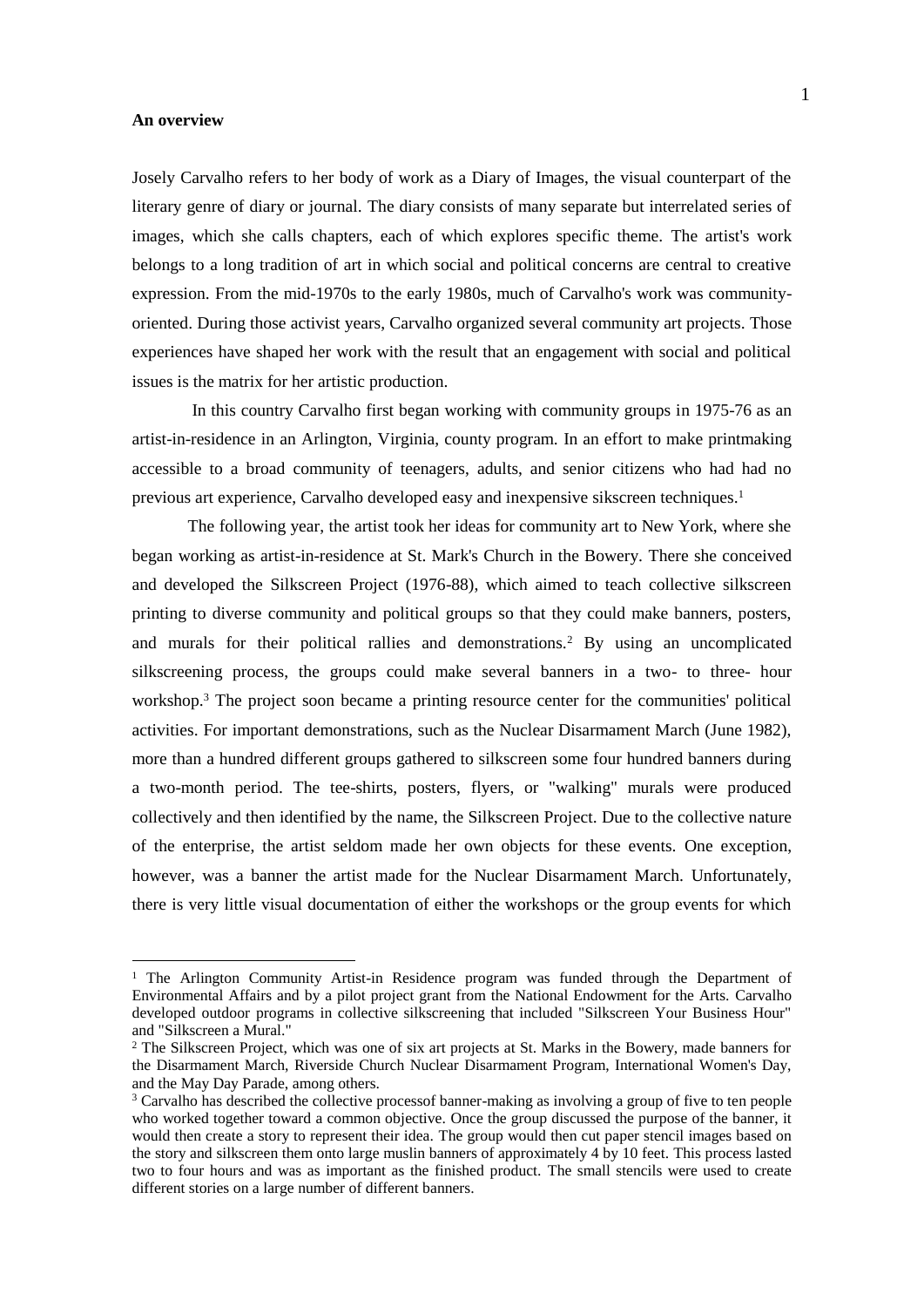## **An overview**

<u>.</u>

Josely Carvalho refers to her body of work as a Diary of Images, the visual counterpart of the literary genre of diary or journal. The diary consists of many separate but interrelated series of images, which she calls chapters, each of which explores specific theme. The artist's work belongs to a long tradition of art in which social and political concerns are central to creative expression. From the mid-1970s to the early 1980s, much of Carvalho's work was communityoriented. During those activist years, Carvalho organized several community art projects. Those experiences have shaped her work with the result that an engagement with social and political issues is the matrix for her artistic production.

In this country Carvalho first began working with community groups in 1975-76 as an artist-in-residence in an Arlington, Virginia, county program. In an effort to make printmaking accessible to a broad community of teenagers, adults, and senior citizens who had had no previous art experience, Carvalho developed easy and inexpensive sikscreen techniques.<sup>1</sup>

The following year, the artist took her ideas for community art to New York, where she began working as artist-in-residence at St. Mark's Church in the Bowery. There she conceived and developed the Silkscreen Project (1976-88), which aimed to teach collective silkscreen printing to diverse community and political groups so that they could make banners, posters, and murals for their political rallies and demonstrations.<sup>2</sup> By using an uncomplicated silkscreening process, the groups could make several banners in a two- to three- hour workshop.<sup>3</sup> The project soon became a printing resource center for the communities' political activities. For important demonstrations, such as the Nuclear Disarmament March (June 1982), more than a hundred different groups gathered to silkscreen some four hundred banners during a two-month period. The tee-shirts, posters, flyers, or "walking" murals were produced collectively and then identified by the name, the Silkscreen Project. Due to the collective nature of the enterprise, the artist seldom made her own objects for these events. One exception, however, was a banner the artist made for the Nuclear Disarmament March. Unfortunately, there is very little visual documentation of either the workshops or the group events for which

<sup>&</sup>lt;sup>1</sup> The Arlington Community Artist-in Residence program was funded through the Department of Environmental Affairs and by a pilot project grant from the National Endowment for the Arts. Carvalho developed outdoor programs in collective silkscreening that included "Silkscreen Your Business Hour" and "Silkscreen a Mural."

<sup>2</sup> The Silkscreen Project, which was one of six art projects at St. Marks in the Bowery, made banners for the Disarmament March, Riverside Church Nuclear Disarmament Program, International Women's Day, and the May Day Parade, among others.

<sup>&</sup>lt;sup>3</sup> Carvalho has described the collective processof banner-making as involving a group of five to ten people who worked together toward a common objective. Once the group discussed the purpose of the banner, it would then create a story to represent their idea. The group would then cut paper stencil images based on the story and silkscreen them onto large muslin banners of approximately 4 by 10 feet. This process lasted two to four hours and was as important as the finished product. The small stencils were used to create different stories on a large number of different banners.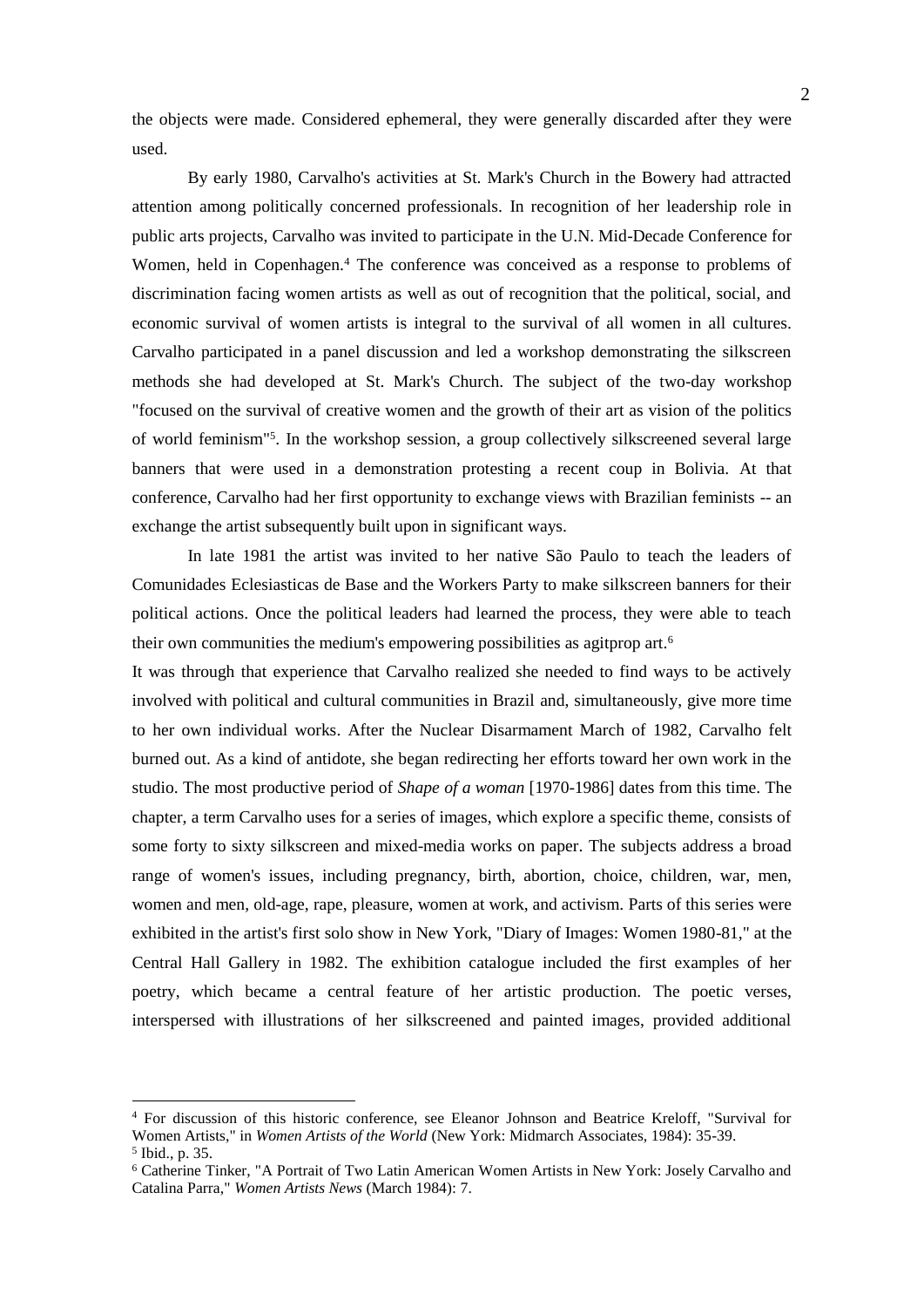the objects were made. Considered ephemeral, they were generally discarded after they were used.

By early 1980, Carvalho's activities at St. Mark's Church in the Bowery had attracted attention among politically concerned professionals. In recognition of her leadership role in public arts projects, Carvalho was invited to participate in the U.N. Mid-Decade Conference for Women, held in Copenhagen.<sup>4</sup> The conference was conceived as a response to problems of discrimination facing women artists as well as out of recognition that the political, social, and economic survival of women artists is integral to the survival of all women in all cultures. Carvalho participated in a panel discussion and led a workshop demonstrating the silkscreen methods she had developed at St. Mark's Church. The subject of the two-day workshop "focused on the survival of creative women and the growth of their art as vision of the politics of world feminism" 5 . In the workshop session, a group collectively silkscreened several large banners that were used in a demonstration protesting a recent coup in Bolivia. At that conference, Carvalho had her first opportunity to exchange views with Brazilian feminists -- an exchange the artist subsequently built upon in significant ways.

In late 1981 the artist was invited to her native São Paulo to teach the leaders of Comunidades Eclesiasticas de Base and the Workers Party to make silkscreen banners for their political actions. Once the political leaders had learned the process, they were able to teach their own communities the medium's empowering possibilities as agitprop art.<sup>6</sup>

It was through that experience that Carvalho realized she needed to find ways to be actively involved with political and cultural communities in Brazil and, simultaneously, give more time to her own individual works. After the Nuclear Disarmament March of 1982, Carvalho felt burned out. As a kind of antidote, she began redirecting her efforts toward her own work in the studio. The most productive period of *Shape of a woman* [1970-1986] dates from this time. The chapter, a term Carvalho uses for a series of images, which explore a specific theme, consists of some forty to sixty silkscreen and mixed-media works on paper. The subjects address a broad range of women's issues, including pregnancy, birth, abortion, choice, children, war, men, women and men, old-age, rape, pleasure, women at work, and activism. Parts of this series were exhibited in the artist's first solo show in New York, "Diary of Images: Women 1980-81," at the Central Hall Gallery in 1982. The exhibition catalogue included the first examples of her poetry, which became a central feature of her artistic production. The poetic verses, interspersed with illustrations of her silkscreened and painted images, provided additional

<u>.</u>

<sup>4</sup> For discussion of this historic conference, see Eleanor Johnson and Beatrice Kreloff, "Survival for Women Artists," in *Women Artists of the World* (New York: Midmarch Associates, 1984): 35-39.

<sup>5</sup> Ibid., p. 35.

<sup>6</sup> Catherine Tinker, "A Portrait of Two Latin American Women Artists in New York: Josely Carvalho and Catalina Parra," *Women Artists News* (March 1984): 7.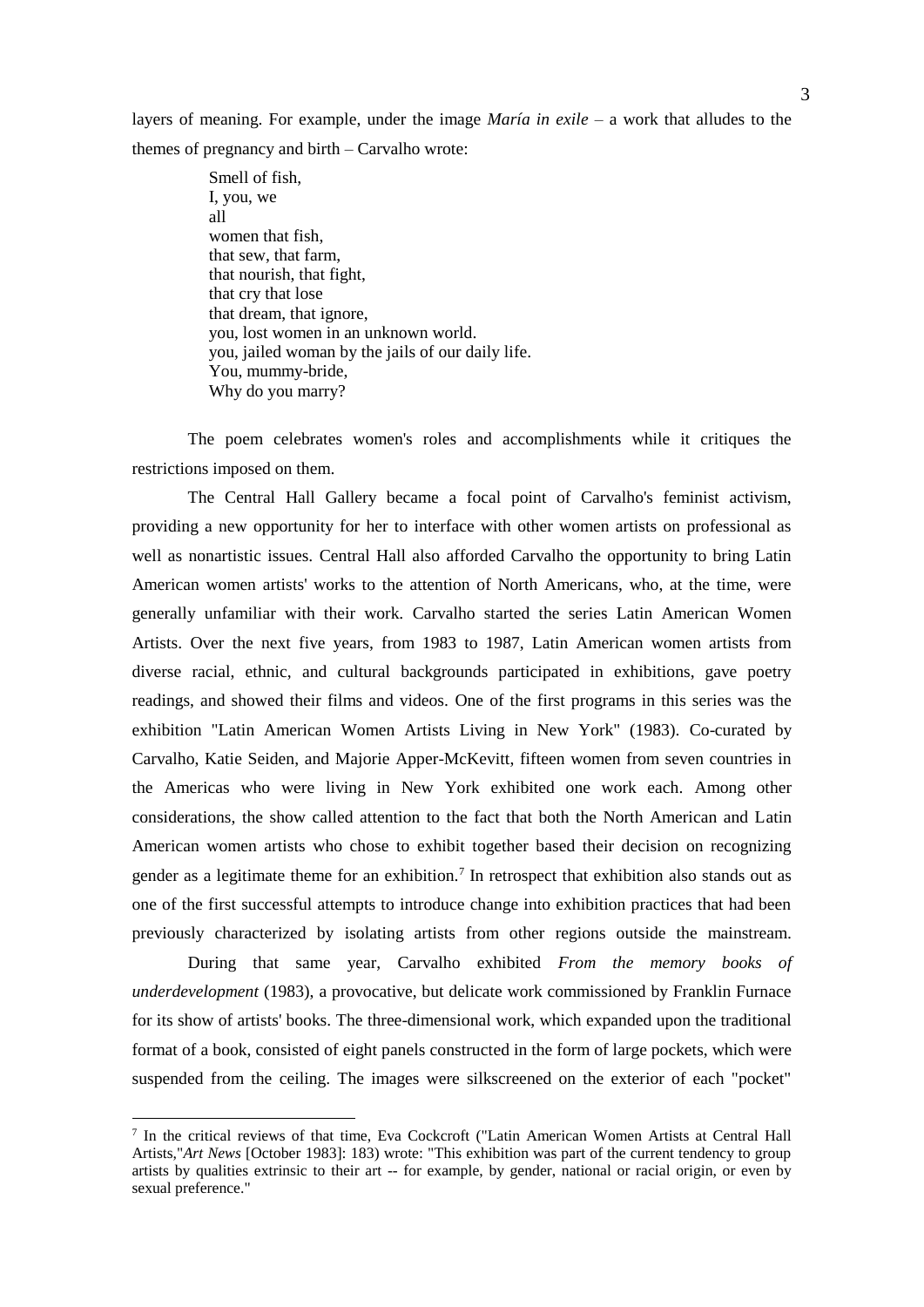layers of meaning. For example, under the image *María in exile* – a work that alludes to the themes of pregnancy and birth – Carvalho wrote:

> Smell of fish, I, you, we all women that fish, that sew, that farm, that nourish, that fight, that cry that lose that dream, that ignore, you, lost women in an unknown world. you, jailed woman by the jails of our daily life. You, mummy-bride, Why do you marry?

The poem celebrates women's roles and accomplishments while it critiques the restrictions imposed on them.

The Central Hall Gallery became a focal point of Carvalho's feminist activism, providing a new opportunity for her to interface with other women artists on professional as well as nonartistic issues. Central Hall also afforded Carvalho the opportunity to bring Latin American women artists' works to the attention of North Americans, who, at the time, were generally unfamiliar with their work. Carvalho started the series Latin American Women Artists. Over the next five years, from 1983 to 1987, Latin American women artists from diverse racial, ethnic, and cultural backgrounds participated in exhibitions, gave poetry readings, and showed their films and videos. One of the first programs in this series was the exhibition "Latin American Women Artists Living in New York" (1983). Co-curated by Carvalho, Katie Seiden, and Majorie Apper-McKevitt, fifteen women from seven countries in the Americas who were living in New York exhibited one work each. Among other considerations, the show called attention to the fact that both the North American and Latin American women artists who chose to exhibit together based their decision on recognizing gender as a legitimate theme for an exhibition.<sup>7</sup> In retrospect that exhibition also stands out as one of the first successful attempts to introduce change into exhibition practices that had been previously characterized by isolating artists from other regions outside the mainstream.

During that same year, Carvalho exhibited *From the memory books of underdevelopment* (1983), a provocative, but delicate work commissioned by Franklin Furnace for its show of artists' books. The three-dimensional work, which expanded upon the traditional format of a book, consisted of eight panels constructed in the form of large pockets, which were suspended from the ceiling. The images were silkscreened on the exterior of each "pocket"

1

<sup>7</sup> In the critical reviews of that time, Eva Cockcroft ("Latin American Women Artists at Central Hall Artists,"*Art News* [October 1983]: 183) wrote: "This exhibition was part of the current tendency to group artists by qualities extrinsic to their art -- for example, by gender, national or racial origin, or even by sexual preference."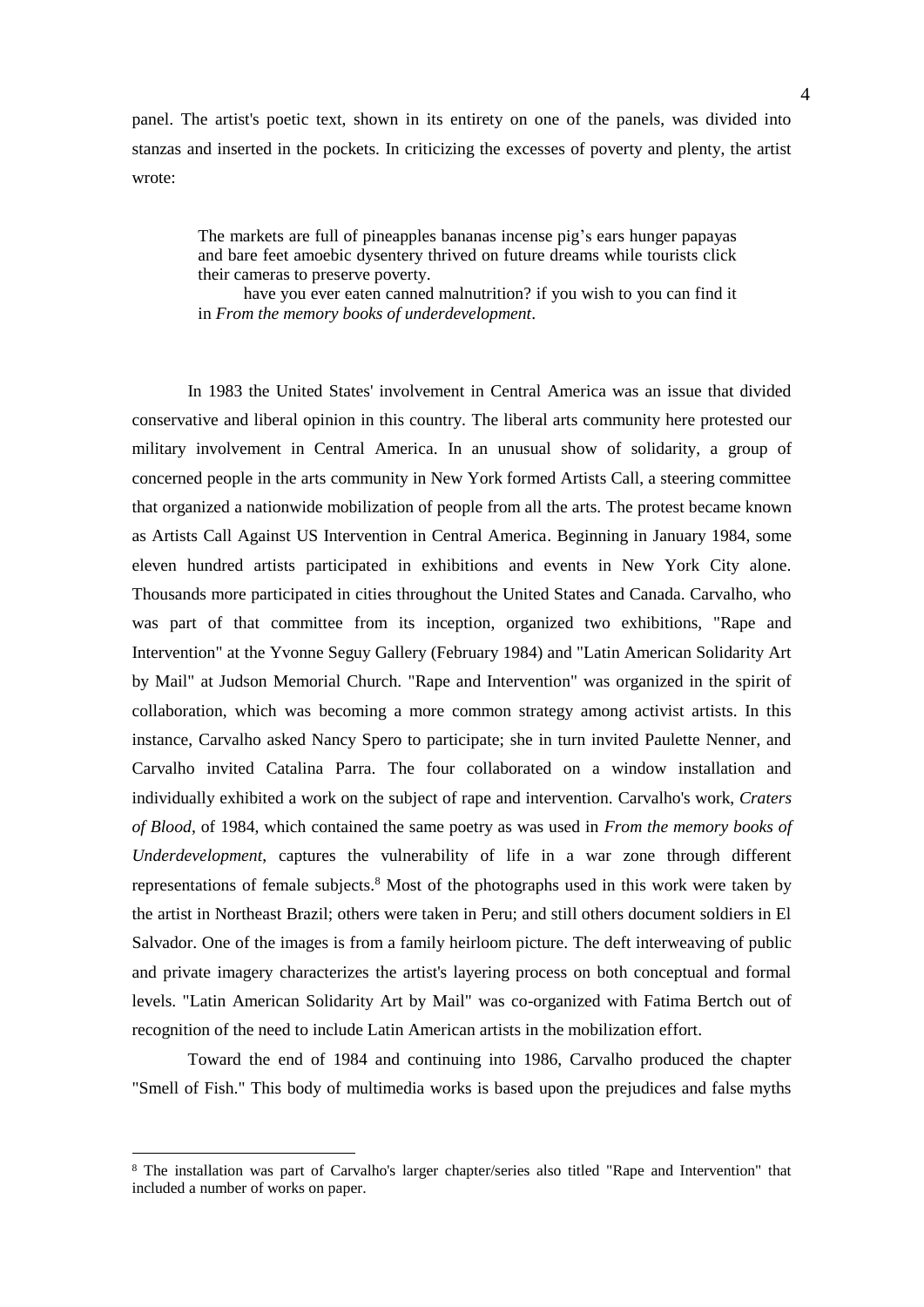panel. The artist's poetic text, shown in its entirety on one of the panels, was divided into stanzas and inserted in the pockets. In criticizing the excesses of poverty and plenty, the artist wrote:

The markets are full of pineapples bananas incense pig's ears hunger papayas and bare feet amoebic dysentery thrived on future dreams while tourists click their cameras to preserve poverty.

have you ever eaten canned malnutrition? if you wish to you can find it in *From the memory books of underdevelopment*.

In 1983 the United States' involvement in Central America was an issue that divided conservative and liberal opinion in this country. The liberal arts community here protested our military involvement in Central America. In an unusual show of solidarity, a group of concerned people in the arts community in New York formed Artists Call, a steering committee that organized a nationwide mobilization of people from all the arts. The protest became known as Artists Call Against US Intervention in Central America. Beginning in January 1984, some eleven hundred artists participated in exhibitions and events in New York City alone. Thousands more participated in cities throughout the United States and Canada. Carvalho, who was part of that committee from its inception, organized two exhibitions, "Rape and Intervention" at the Yvonne Seguy Gallery (February 1984) and "Latin American Solidarity Art by Mail" at Judson Memorial Church. "Rape and Intervention" was organized in the spirit of collaboration, which was becoming a more common strategy among activist artists. In this instance, Carvalho asked Nancy Spero to participate; she in turn invited Paulette Nenner, and Carvalho invited Catalina Parra. The four collaborated on a window installation and individually exhibited a work on the subject of rape and intervention. Carvalho's work, *Craters of Blood*, of 1984, which contained the same poetry as was used in *From the memory books of Underdevelopment*, captures the vulnerability of life in a war zone through different representations of female subjects.<sup>8</sup> Most of the photographs used in this work were taken by the artist in Northeast Brazil; others were taken in Peru; and still others document soldiers in El Salvador. One of the images is from a family heirloom picture. The deft interweaving of public and private imagery characterizes the artist's layering process on both conceptual and formal levels. "Latin American Solidarity Art by Mail" was co-organized with Fatima Bertch out of recognition of the need to include Latin American artists in the mobilization effort.

Toward the end of 1984 and continuing into 1986, Carvalho produced the chapter "Smell of Fish." This body of multimedia works is based upon the prejudices and false myths

1

<sup>8</sup> The installation was part of Carvalho's larger chapter/series also titled "Rape and Intervention" that included a number of works on paper.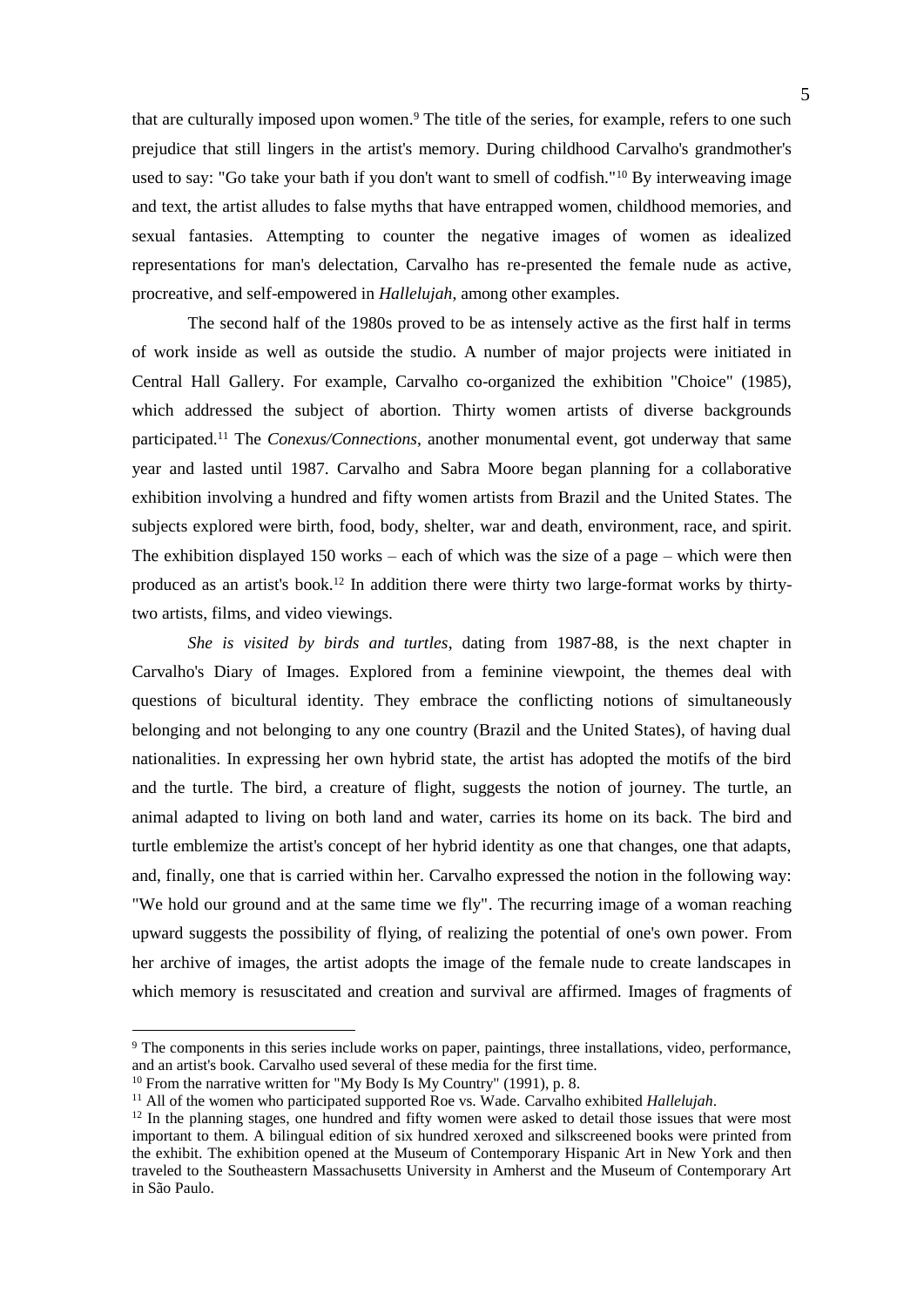that are culturally imposed upon women.<sup>9</sup> The title of the series, for example, refers to one such prejudice that still lingers in the artist's memory. During childhood Carvalho's grandmother's used to say: "Go take your bath if you don't want to smell of codfish."<sup>10</sup> By interweaving image and text, the artist alludes to false myths that have entrapped women, childhood memories, and sexual fantasies. Attempting to counter the negative images of women as idealized representations for man's delectation, Carvalho has re-presented the female nude as active, procreative, and self-empowered in *Hallelujah*, among other examples.

The second half of the 1980s proved to be as intensely active as the first half in terms of work inside as well as outside the studio. A number of major projects were initiated in Central Hall Gallery. For example, Carvalho co-organized the exhibition "Choice" (1985), which addressed the subject of abortion. Thirty women artists of diverse backgrounds participated.<sup>11</sup> The *Conexus/Connections*, another monumental event, got underway that same year and lasted until 1987. Carvalho and Sabra Moore began planning for a collaborative exhibition involving a hundred and fifty women artists from Brazil and the United States. The subjects explored were birth, food, body, shelter, war and death, environment, race, and spirit. The exhibition displayed 150 works – each of which was the size of a page – which were then produced as an artist's book.<sup>12</sup> In addition there were thirty two large-format works by thirtytwo artists, films, and video viewings.

*She is visited by birds and turtles*, dating from 1987-88, is the next chapter in Carvalho's Diary of Images. Explored from a feminine viewpoint, the themes deal with questions of bicultural identity. They embrace the conflicting notions of simultaneously belonging and not belonging to any one country (Brazil and the United States), of having dual nationalities. In expressing her own hybrid state, the artist has adopted the motifs of the bird and the turtle. The bird, a creature of flight, suggests the notion of journey. The turtle, an animal adapted to living on both land and water, carries its home on its back. The bird and turtle emblemize the artist's concept of her hybrid identity as one that changes, one that adapts, and, finally, one that is carried within her. Carvalho expressed the notion in the following way: "We hold our ground and at the same time we fly". The recurring image of a woman reaching upward suggests the possibility of flying, of realizing the potential of one's own power. From her archive of images, the artist adopts the image of the female nude to create landscapes in which memory is resuscitated and creation and survival are affirmed. Images of fragments of

<u>.</u>

<sup>9</sup> The components in this series include works on paper, paintings, three installations, video, performance, and an artist's book. Carvalho used several of these media for the first time.

<sup>&</sup>lt;sup>10</sup> From the narrative written for "My Body Is My Country" (1991), p. 8.

<sup>11</sup> All of the women who participated supported Roe vs. Wade. Carvalho exhibited *Hallelujah*.

<sup>&</sup>lt;sup>12</sup> In the planning stages, one hundred and fifty women were asked to detail those issues that were most important to them. A bilingual edition of six hundred xeroxed and silkscreened books were printed from the exhibit. The exhibition opened at the Museum of Contemporary Hispanic Art in New York and then traveled to the Southeastern Massachusetts University in Amherst and the Museum of Contemporary Art in São Paulo.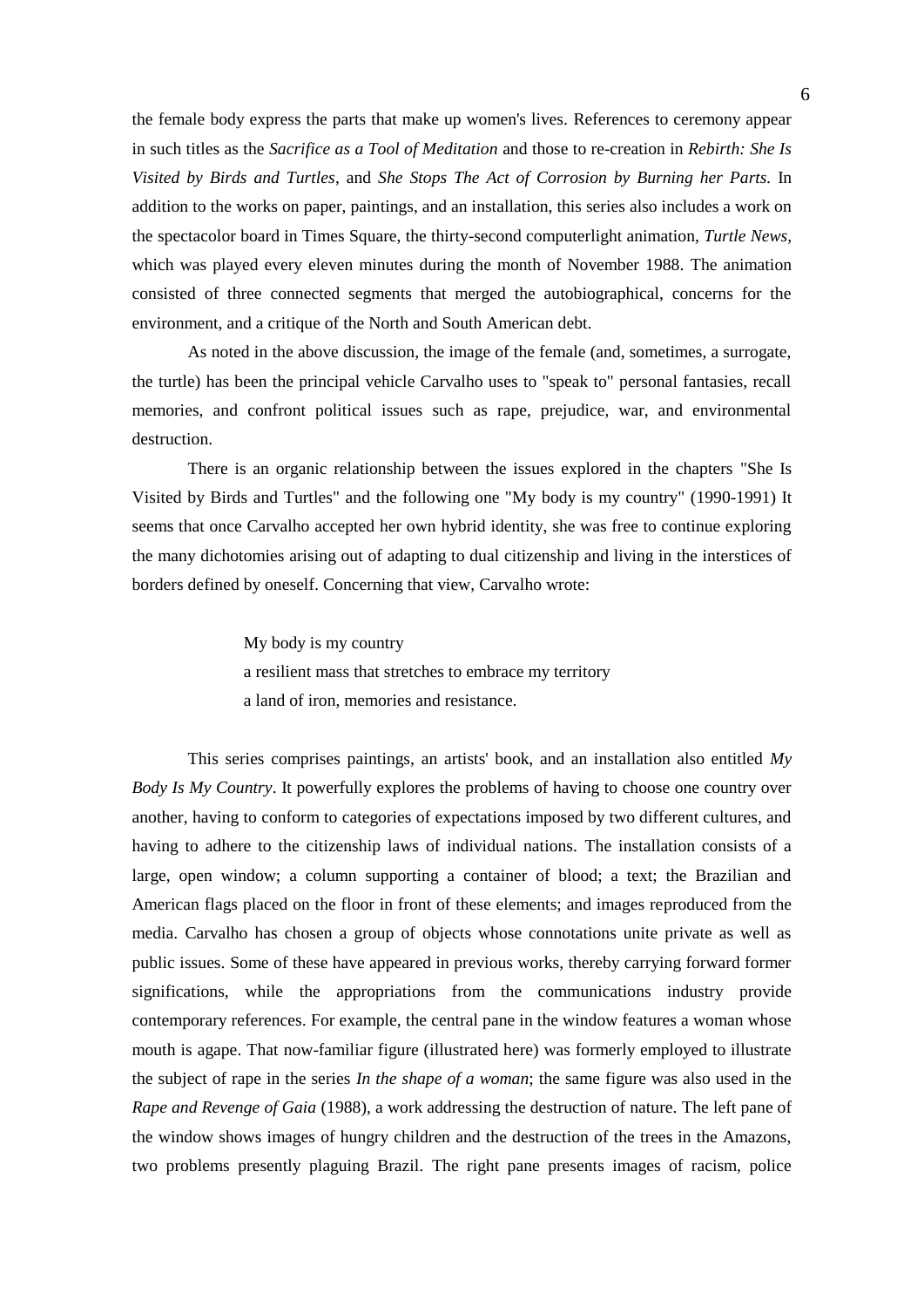the female body express the parts that make up women's lives. References to ceremony appear in such titles as the *Sacrifice as a Tool of Meditation* and those to re-creation in *Rebirth: She Is Visited by Birds and Turtles*, and *She Stops The Act of Corrosion by Burning her Parts.* In addition to the works on paper, paintings, and an installation, this series also includes a work on the spectacolor board in Times Square, the thirty-second computerlight animation, *Turtle News,* which was played every eleven minutes during the month of November 1988*.* The animation consisted of three connected segments that merged the autobiographical, concerns for the environment, and a critique of the North and South American debt.

As noted in the above discussion, the image of the female (and, sometimes, a surrogate, the turtle) has been the principal vehicle Carvalho uses to "speak to" personal fantasies, recall memories, and confront political issues such as rape, prejudice, war, and environmental destruction.

There is an organic relationship between the issues explored in the chapters "She Is Visited by Birds and Turtles" and the following one "My body is my country" (1990-1991) It seems that once Carvalho accepted her own hybrid identity, she was free to continue exploring the many dichotomies arising out of adapting to dual citizenship and living in the interstices of borders defined by oneself. Concerning that view, Carvalho wrote:

> My body is my country a resilient mass that stretches to embrace my territory a land of iron, memories and resistance.

This series comprises paintings, an artists' book, and an installation also entitled *My Body Is My Country*. It powerfully explores the problems of having to choose one country over another, having to conform to categories of expectations imposed by two different cultures, and having to adhere to the citizenship laws of individual nations. The installation consists of a large, open window; a column supporting a container of blood; a text; the Brazilian and American flags placed on the floor in front of these elements; and images reproduced from the media. Carvalho has chosen a group of objects whose connotations unite private as well as public issues. Some of these have appeared in previous works, thereby carrying forward former significations, while the appropriations from the communications industry provide contemporary references. For example, the central pane in the window features a woman whose mouth is agape. That now-familiar figure (illustrated here) was formerly employed to illustrate the subject of rape in the series *In the shape of a woman*; the same figure was also used in the *Rape and Revenge of Gaia* (1988), a work addressing the destruction of nature. The left pane of the window shows images of hungry children and the destruction of the trees in the Amazons, two problems presently plaguing Brazil. The right pane presents images of racism, police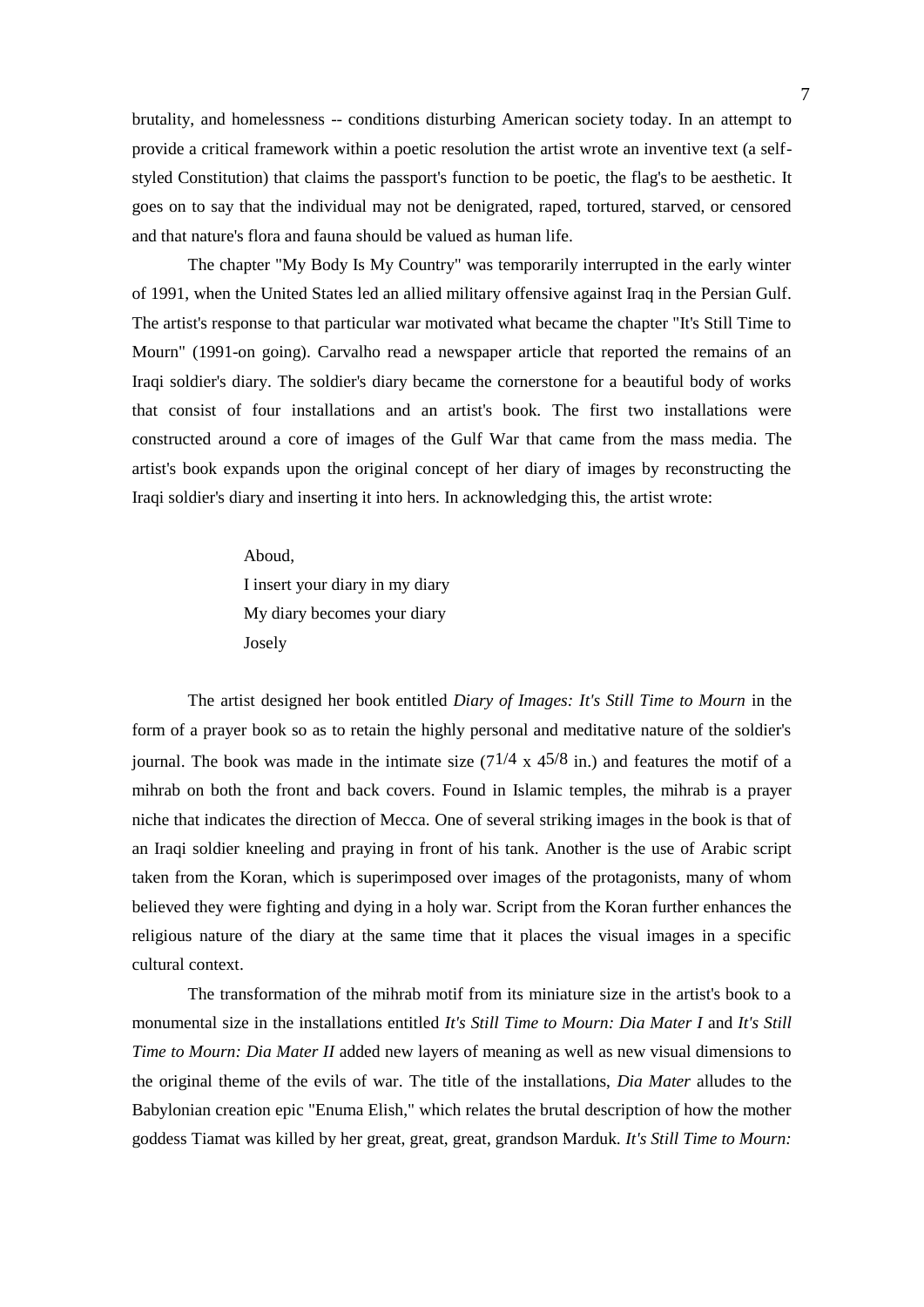brutality, and homelessness -- conditions disturbing American society today. In an attempt to provide a critical framework within a poetic resolution the artist wrote an inventive text (a selfstyled Constitution) that claims the passport's function to be poetic, the flag's to be aesthetic. It goes on to say that the individual may not be denigrated, raped, tortured, starved, or censored and that nature's flora and fauna should be valued as human life.

The chapter "My Body Is My Country" was temporarily interrupted in the early winter of 1991, when the United States led an allied military offensive against Iraq in the Persian Gulf. The artist's response to that particular war motivated what became the chapter "It's Still Time to Mourn" (1991-on going). Carvalho read a newspaper article that reported the remains of an Iraqi soldier's diary. The soldier's diary became the cornerstone for a beautiful body of works that consist of four installations and an artist's book. The first two installations were constructed around a core of images of the Gulf War that came from the mass media. The artist's book expands upon the original concept of her diary of images by reconstructing the Iraqi soldier's diary and inserting it into hers. In acknowledging this, the artist wrote:

Aboud,

I insert your diary in my diary My diary becomes your diary Josely

The artist designed her book entitled *Diary of Images: It's Still Time to Mourn* in the form of a prayer book so as to retain the highly personal and meditative nature of the soldier's journal. The book was made in the intimate size  $(71/4 \times 45/8)$  in.) and features the motif of a mihrab on both the front and back covers. Found in Islamic temples, the mihrab is a prayer niche that indicates the direction of Mecca. One of several striking images in the book is that of an Iraqi soldier kneeling and praying in front of his tank. Another is the use of Arabic script taken from the Koran, which is superimposed over images of the protagonists, many of whom believed they were fighting and dying in a holy war. Script from the Koran further enhances the religious nature of the diary at the same time that it places the visual images in a specific cultural context.

The transformation of the mihrab motif from its miniature size in the artist's book to a monumental size in the installations entitled *It's Still Time to Mourn: Dia Mater I* and *It's Still Time to Mourn: Dia Mater II* added new layers of meaning as well as new visual dimensions to the original theme of the evils of war. The title of the installations, *Dia Mater* alludes to the Babylonian creation epic "Enuma Elish," which relates the brutal description of how the mother goddess Tiamat was killed by her great, great, great, grandson Marduk. *It's Still Time to Mourn:*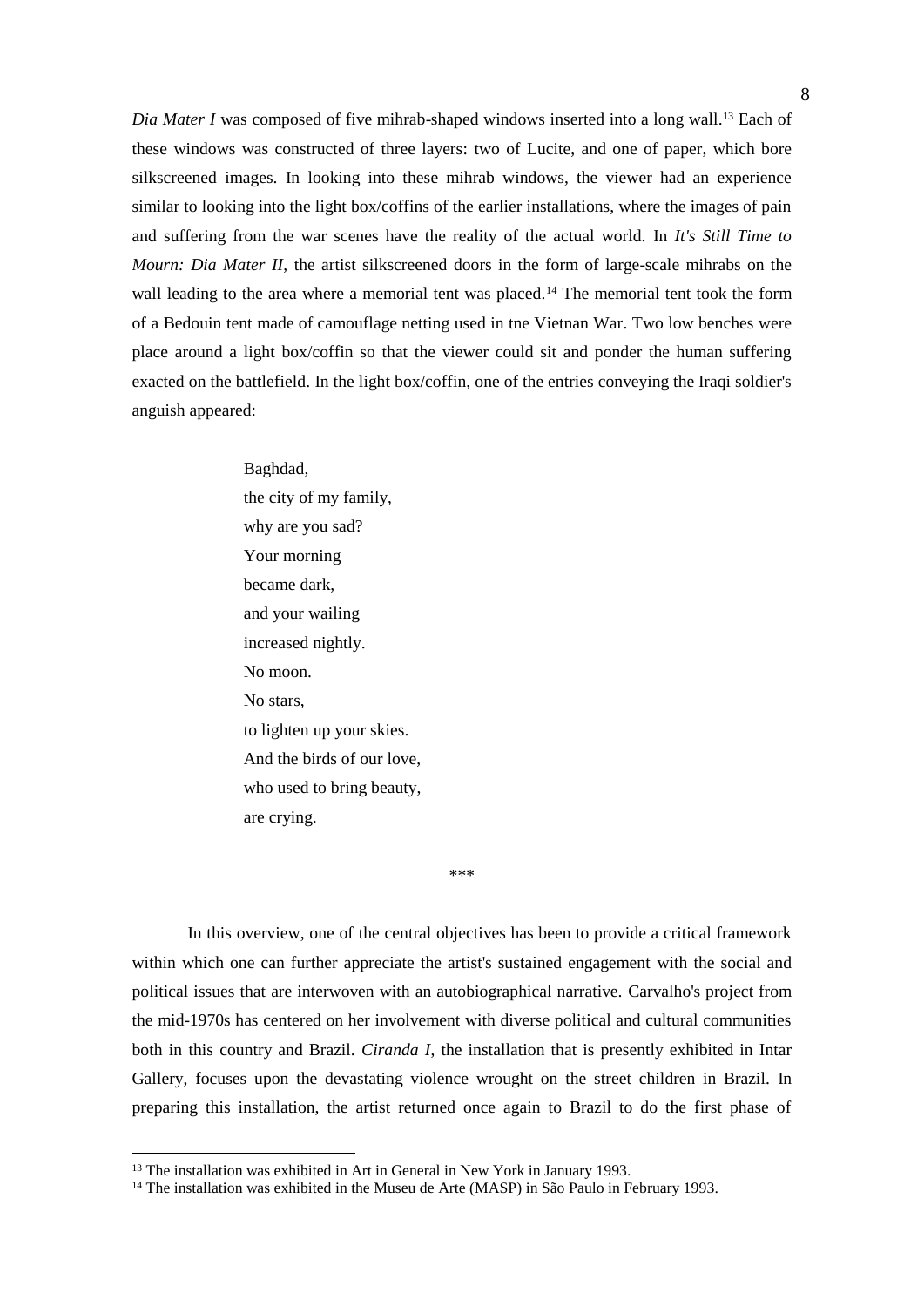*Dia Mater I* was composed of five mihrab-shaped windows inserted into a long wall.<sup>13</sup> Each of these windows was constructed of three layers: two of Lucite, and one of paper, which bore silkscreened images. In looking into these mihrab windows, the viewer had an experience similar to looking into the light box/coffins of the earlier installations, where the images of pain and suffering from the war scenes have the reality of the actual world. In *It's Still Time to Mourn: Dia Mater II*, the artist silkscreened doors in the form of large-scale mihrabs on the wall leading to the area where a memorial tent was placed.<sup>14</sup> The memorial tent took the form of a Bedouin tent made of camouflage netting used in tne Vietnan War. Two low benches were place around a light box/coffin so that the viewer could sit and ponder the human suffering exacted on the battlefield. In the light box/coffin, one of the entries conveying the Iraqi soldier's anguish appeared:

> Baghdad, the city of my family, why are you sad? Your morning became dark, and your wailing increased nightly. No moon. No stars, to lighten up your skies. And the birds of our love, who used to bring beauty, are crying.

> > \*\*\*

In this overview, one of the central objectives has been to provide a critical framework within which one can further appreciate the artist's sustained engagement with the social and political issues that are interwoven with an autobiographical narrative. Carvalho's project from the mid-1970s has centered on her involvement with diverse political and cultural communities both in this country and Brazil. *Ciranda I*, the installation that is presently exhibited in Intar Gallery, focuses upon the devastating violence wrought on the street children in Brazil. In preparing this installation, the artist returned once again to Brazil to do the first phase of

1

<sup>&</sup>lt;sup>13</sup> The installation was exhibited in Art in General in New York in January 1993.

<sup>&</sup>lt;sup>14</sup> The installation was exhibited in the Museu de Arte (MASP) in São Paulo in February 1993.